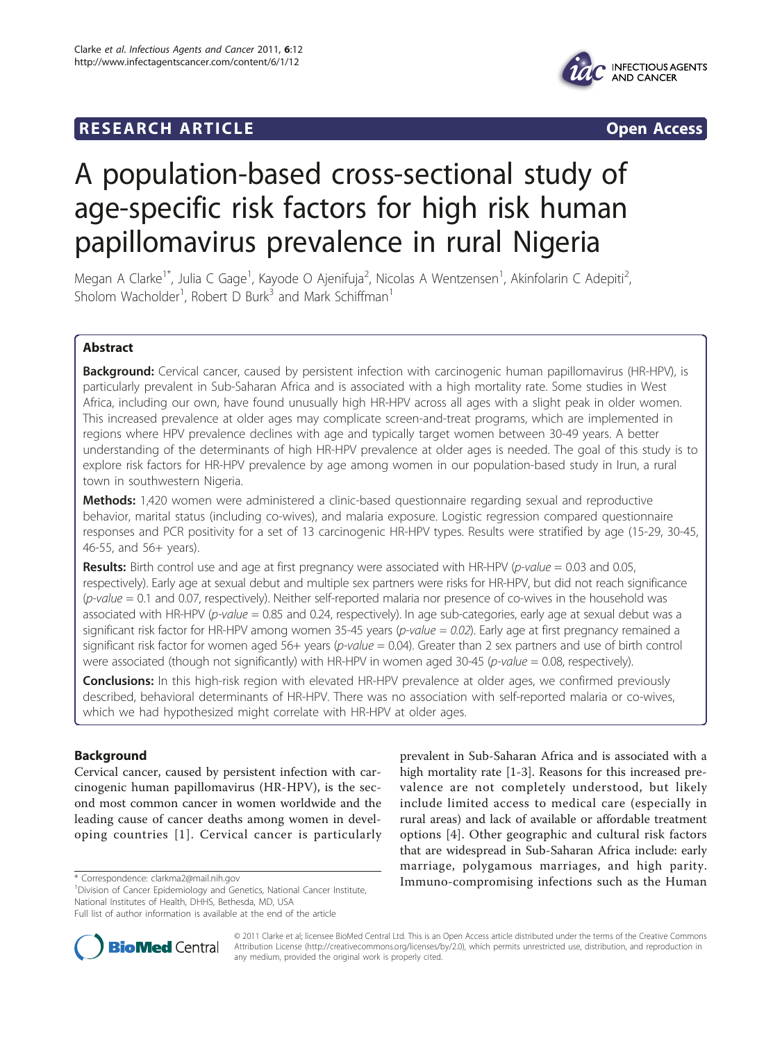# **RESEARCH ARTICLE EXECUTE: CONSIDERING ACCESS**



# A population-based cross-sectional study of age-specific risk factors for high risk human papillomavirus prevalence in rural Nigeria

Megan A Clarke<sup>1\*</sup>, Julia C Gage<sup>1</sup>, Kayode O Ajenifuja<sup>2</sup>, Nicolas A Wentzensen<sup>1</sup>, Akinfolarin C Adepiti<sup>2</sup> , Sholom Wacholder<sup>1</sup>, Robert D Burk<sup>3</sup> and Mark Schiffman<sup>1</sup>

# Abstract

Background: Cervical cancer, caused by persistent infection with carcinogenic human papillomavirus (HR-HPV), is particularly prevalent in Sub-Saharan Africa and is associated with a high mortality rate. Some studies in West Africa, including our own, have found unusually high HR-HPV across all ages with a slight peak in older women. This increased prevalence at older ages may complicate screen-and-treat programs, which are implemented in regions where HPV prevalence declines with age and typically target women between 30-49 years. A better understanding of the determinants of high HR-HPV prevalence at older ages is needed. The goal of this study is to explore risk factors for HR-HPV prevalence by age among women in our population-based study in Irun, a rural town in southwestern Nigeria.

Methods: 1,420 women were administered a clinic-based questionnaire regarding sexual and reproductive behavior, marital status (including co-wives), and malaria exposure. Logistic regression compared questionnaire responses and PCR positivity for a set of 13 carcinogenic HR-HPV types. Results were stratified by age (15-29, 30-45, 46-55, and 56+ years).

**Results:** Birth control use and age at first pregnancy were associated with HR-HPV ( $p$ -value = 0.03 and 0.05, respectively). Early age at sexual debut and multiple sex partners were risks for HR-HPV, but did not reach significance  $(p-value = 0.1$  and 0.07, respectively). Neither self-reported malaria nor presence of co-wives in the household was associated with HR-HPV (p-value = 0.85 and 0.24, respectively). In age sub-categories, early age at sexual debut was a significant risk factor for HR-HPV among women 35-45 years ( $p$ -value = 0.02). Early age at first pregnancy remained a significant risk factor for women aged 56+ years (p-value = 0.04). Greater than 2 sex partners and use of birth control were associated (though not significantly) with HR-HPV in women aged 30-45 (*p-value* = 0.08, respectively).

Conclusions: In this high-risk region with elevated HR-HPV prevalence at older ages, we confirmed previously described, behavioral determinants of HR-HPV. There was no association with self-reported malaria or co-wives, which we had hypothesized might correlate with HR-HPV at older ages.

# Background

Cervical cancer, caused by persistent infection with carcinogenic human papillomavirus (HR-HPV), is the second most common cancer in women worldwide and the leading cause of cancer deaths among women in developing countries [[1\]](#page-7-0). Cervical cancer is particularly

<sup>1</sup> Division of Cancer Epidemiology and Genetics, National Cancer Institute, National Institutes of Health, DHHS, Bethesda, MD, USA

prevalent in Sub-Saharan Africa and is associated with a high mortality rate [[1-3](#page-7-0)]. Reasons for this increased prevalence are not completely understood, but likely include limited access to medical care (especially in rural areas) and lack of available or affordable treatment options [[4](#page-7-0)]. Other geographic and cultural risk factors that are widespread in Sub-Saharan Africa include: early marriage, polygamous marriages, and high parity. \* Correspondence: [clarkma2@mail.nih.gov](mailto:clarkma2@mail.nih.gov) **Immuno-compromising infections such as the Human** 



© 2011 Clarke et al; licensee BioMed Central Ltd. This is an Open Access article distributed under the terms of the Creative Commons Attribution License [\(http://creativecommons.org/licenses/by/2.0](http://creativecommons.org/licenses/by/2.0)), which permits unrestricted use, distribution, and reproduction in any medium, provided the original work is properly cited.

Full list of author information is available at the end of the article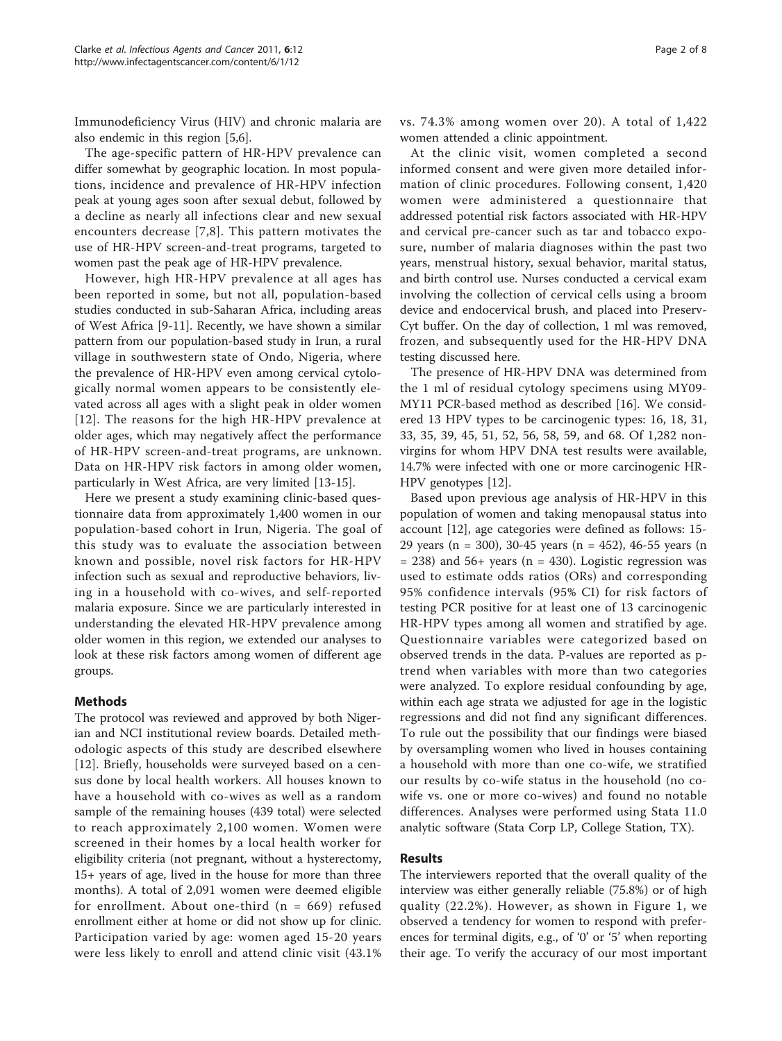Immunodeficiency Virus (HIV) and chronic malaria are also endemic in this region [[5,6\]](#page-7-0).

The age-specific pattern of HR-HPV prevalence can differ somewhat by geographic location. In most populations, incidence and prevalence of HR-HPV infection peak at young ages soon after sexual debut, followed by a decline as nearly all infections clear and new sexual encounters decrease [[7,8\]](#page-7-0). This pattern motivates the use of HR-HPV screen-and-treat programs, targeted to women past the peak age of HR-HPV prevalence.

However, high HR-HPV prevalence at all ages has been reported in some, but not all, population-based studies conducted in sub-Saharan Africa, including areas of West Africa [\[9](#page-7-0)-[11](#page-7-0)]. Recently, we have shown a similar pattern from our population-based study in Irun, a rural village in southwestern state of Ondo, Nigeria, where the prevalence of HR-HPV even among cervical cytologically normal women appears to be consistently elevated across all ages with a slight peak in older women [[12](#page-7-0)]. The reasons for the high HR-HPV prevalence at older ages, which may negatively affect the performance of HR-HPV screen-and-treat programs, are unknown. Data on HR-HPV risk factors in among older women, particularly in West Africa, are very limited [\[13](#page-7-0)-[15](#page-7-0)].

Here we present a study examining clinic-based questionnaire data from approximately 1,400 women in our population-based cohort in Irun, Nigeria. The goal of this study was to evaluate the association between known and possible, novel risk factors for HR-HPV infection such as sexual and reproductive behaviors, living in a household with co-wives, and self-reported malaria exposure. Since we are particularly interested in understanding the elevated HR-HPV prevalence among older women in this region, we extended our analyses to look at these risk factors among women of different age groups.

## Methods

The protocol was reviewed and approved by both Nigerian and NCI institutional review boards. Detailed methodologic aspects of this study are described elsewhere [[12\]](#page-7-0). Briefly, households were surveyed based on a census done by local health workers. All houses known to have a household with co-wives as well as a random sample of the remaining houses (439 total) were selected to reach approximately 2,100 women. Women were screened in their homes by a local health worker for eligibility criteria (not pregnant, without a hysterectomy, 15+ years of age, lived in the house for more than three months). A total of 2,091 women were deemed eligible for enrollment. About one-third (n = 669) refused enrollment either at home or did not show up for clinic. Participation varied by age: women aged 15-20 years were less likely to enroll and attend clinic visit (43.1% vs. 74.3% among women over 20). A total of 1,422 women attended a clinic appointment.

At the clinic visit, women completed a second informed consent and were given more detailed information of clinic procedures. Following consent, 1,420 women were administered a questionnaire that addressed potential risk factors associated with HR-HPV and cervical pre-cancer such as tar and tobacco exposure, number of malaria diagnoses within the past two years, menstrual history, sexual behavior, marital status, and birth control use. Nurses conducted a cervical exam involving the collection of cervical cells using a broom device and endocervical brush, and placed into Preserv-Cyt buffer. On the day of collection, 1 ml was removed, frozen, and subsequently used for the HR-HPV DNA testing discussed here.

The presence of HR-HPV DNA was determined from the 1 ml of residual cytology specimens using MY09- MY11 PCR-based method as described [\[16](#page-7-0)]. We considered 13 HPV types to be carcinogenic types: 16, 18, 31, 33, 35, 39, 45, 51, 52, 56, 58, 59, and 68. Of 1,282 nonvirgins for whom HPV DNA test results were available, 14.7% were infected with one or more carcinogenic HR-HPV genotypes [\[12](#page-7-0)].

Based upon previous age analysis of HR-HPV in this population of women and taking menopausal status into account [[12](#page-7-0)], age categories were defined as follows: 15- 29 years (n = 300), 30-45 years (n = 452), 46-55 years (n  $= 238$ ) and 56+ years (n  $= 430$ ). Logistic regression was used to estimate odds ratios (ORs) and corresponding 95% confidence intervals (95% CI) for risk factors of testing PCR positive for at least one of 13 carcinogenic HR-HPV types among all women and stratified by age. Questionnaire variables were categorized based on observed trends in the data. P-values are reported as ptrend when variables with more than two categories were analyzed. To explore residual confounding by age, within each age strata we adjusted for age in the logistic regressions and did not find any significant differences. To rule out the possibility that our findings were biased by oversampling women who lived in houses containing a household with more than one co-wife, we stratified our results by co-wife status in the household (no cowife vs. one or more co-wives) and found no notable differences. Analyses were performed using Stata 11.0 analytic software (Stata Corp LP, College Station, TX).

## Results

The interviewers reported that the overall quality of the interview was either generally reliable (75.8%) or of high quality (22.2%). However, as shown in Figure [1,](#page-2-0) we observed a tendency for women to respond with preferences for terminal digits, e.g., of '0' or '5' when reporting their age. To verify the accuracy of our most important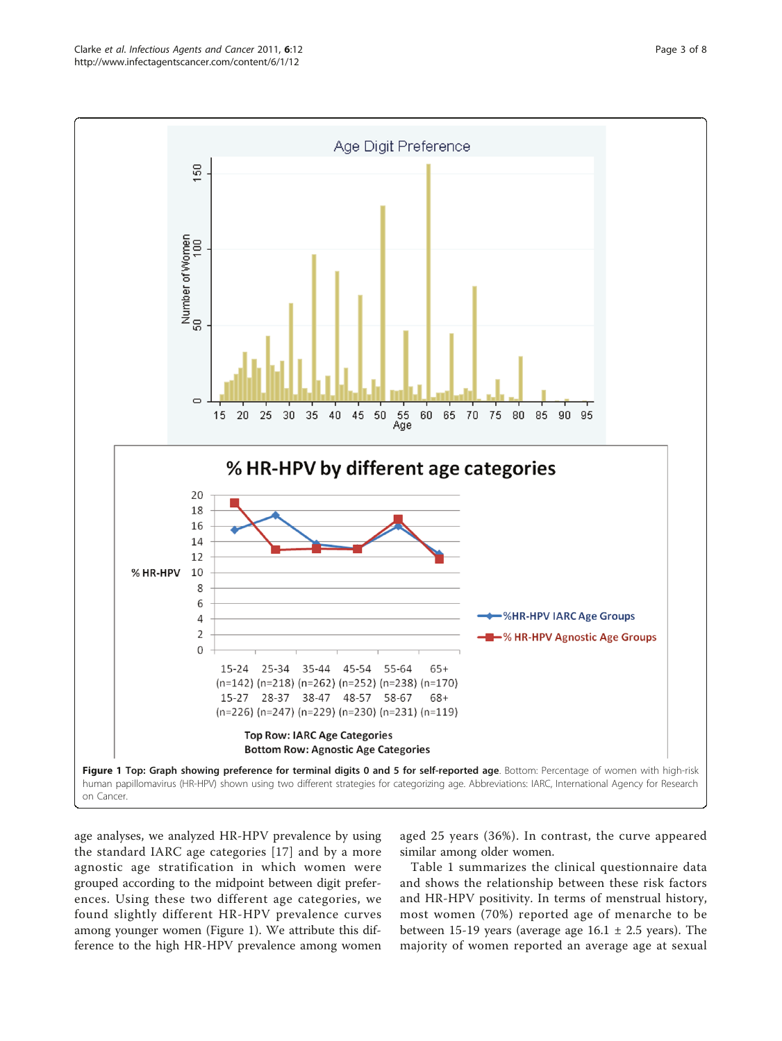<span id="page-2-0"></span>

age analyses, we analyzed HR-HPV prevalence by using the standard IARC age categories [[17](#page-7-0)] and by a more agnostic age stratification in which women were grouped according to the midpoint between digit preferences. Using these two different age categories, we found slightly different HR-HPV prevalence curves among younger women (Figure 1). We attribute this difference to the high HR-HPV prevalence among women

aged 25 years (36%). In contrast, the curve appeared similar among older women.

Table [1](#page-3-0) summarizes the clinical questionnaire data and shows the relationship between these risk factors and HR-HPV positivity. In terms of menstrual history, most women (70%) reported age of menarche to be between 15-19 years (average age  $16.1 \pm 2.5$  years). The majority of women reported an average age at sexual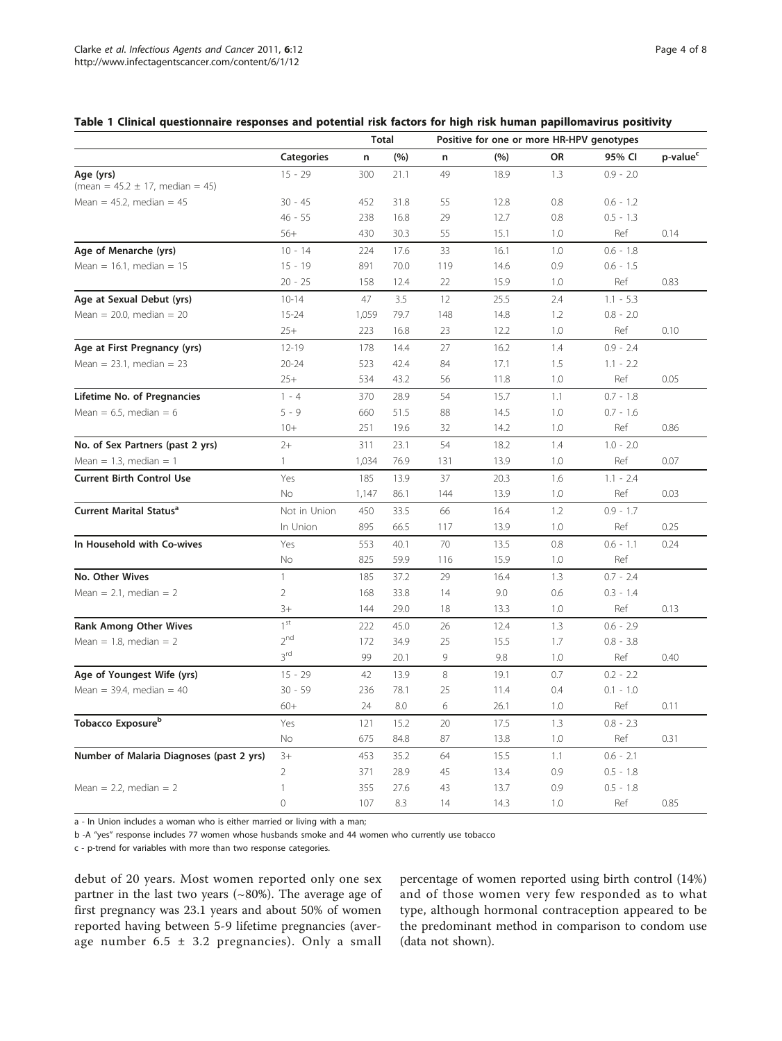## <span id="page-3-0"></span>Table 1 Clinical questionnaire responses and potential risk factors for high risk human papillomavirus positivity

|                                                      |                   | <b>Total</b> |      | Positive for one or more HR-HPV genotypes |      |           |             |                      |  |  |
|------------------------------------------------------|-------------------|--------------|------|-------------------------------------------|------|-----------|-------------|----------------------|--|--|
|                                                      | <b>Categories</b> | n            | (%)  | n                                         | (%)  | <b>OR</b> | 95% CI      | p-value <sup>c</sup> |  |  |
| Age (yrs)<br>(mean = $45.2 \pm 17$ , median = $45$ ) | $15 - 29$         | 300          | 21.1 | 49                                        | 18.9 | 1.3       | $0.9 - 2.0$ |                      |  |  |
| Mean = $45.2$ , median = $45$                        | $30 - 45$         | 452          | 31.8 | 55                                        | 12.8 | 0.8       | $0.6 - 1.2$ |                      |  |  |
|                                                      | $46 - 55$         | 238          | 16.8 | 29                                        | 12.7 | 0.8       | $0.5 - 1.3$ |                      |  |  |
|                                                      | $56+$             | 430          | 30.3 | 55                                        | 15.1 | 1.0       | Ref         | 0.14                 |  |  |
| Age of Menarche (yrs)                                | $10 - 14$         | 224          | 17.6 | 33                                        | 16.1 | 1.0       | $0.6 - 1.8$ |                      |  |  |
| Mean = $16.1$ , median = $15$                        | $15 - 19$         | 891          | 70.0 | 119                                       | 14.6 | 0.9       | $0.6 - 1.5$ |                      |  |  |
|                                                      | $20 - 25$         | 158          | 12.4 | 22                                        | 15.9 | 1.0       | Ref         | 0.83                 |  |  |
| Age at Sexual Debut (yrs)                            | $10 - 14$         | 47           | 3.5  | 12                                        | 25.5 | 2.4       | $1.1 - 5.3$ |                      |  |  |
| Mean = $20.0$ , median = $20$                        | $15 - 24$         | 1,059        | 79.7 | 148                                       | 14.8 | 1.2       | $0.8 - 2.0$ |                      |  |  |
|                                                      | $25+$             | 223          | 16.8 | 23                                        | 12.2 | 1.0       | Ref         | 0.10                 |  |  |
| Age at First Pregnancy (yrs)                         | $12 - 19$         | 178          | 14.4 | 27                                        | 16.2 | 1.4       | $0.9 - 2.4$ |                      |  |  |
| Mean = $23.1$ , median = $23$                        | $20 - 24$         | 523          | 42.4 | 84                                        | 17.1 | 1.5       | $1.1 - 2.2$ |                      |  |  |
|                                                      | $25+$             | 534          | 43.2 | 56                                        | 11.8 | 1.0       | Ref         | 0.05                 |  |  |
| Lifetime No. of Pregnancies                          | $1 - 4$           | 370          | 28.9 | 54                                        | 15.7 | 1.1       | $0.7 - 1.8$ |                      |  |  |
| Mean = $6.5$ , median = $6$                          | $5 - 9$           | 660          | 51.5 | 88                                        | 14.5 | 1.0       | $0.7 - 1.6$ |                      |  |  |
|                                                      | $10+$             | 251          | 19.6 | 32                                        | 14.2 | 1.0       | Ref         | 0.86                 |  |  |
| No. of Sex Partners (past 2 yrs)                     | $2+$              | 311          | 23.1 | 54                                        | 18.2 | 1.4       | $1.0 - 2.0$ |                      |  |  |
| Mean = 1.3, median = 1                               | $\mathbf{1}$      | 1,034        | 76.9 | 131                                       | 13.9 | 1.0       | Ref         | 0.07                 |  |  |
| <b>Current Birth Control Use</b>                     | Yes               | 185          | 13.9 | 37                                        | 20.3 | 1.6       | $1.1 - 2.4$ |                      |  |  |
|                                                      | No                | 1,147        | 86.1 | 144                                       | 13.9 | 1.0       | Ref         | 0.03                 |  |  |
| Current Marital Status <sup>a</sup>                  | Not in Union      | 450          | 33.5 | 66                                        | 16.4 | 1.2       | $0.9 - 1.7$ |                      |  |  |
|                                                      | In Union          | 895          | 66.5 | 117                                       | 13.9 | 1.0       | Ref         | 0.25                 |  |  |
| In Household with Co-wives                           | Yes               | 553          | 40.1 | 70                                        | 13.5 | 0.8       | $0.6 - 1.1$ | 0.24                 |  |  |
|                                                      | No                | 825          | 59.9 | 116                                       | 15.9 | 1.0       | Ref         |                      |  |  |
| No. Other Wives                                      | $\mathbf{1}$      | 185          | 37.2 | 29                                        | 16.4 | 1.3       | $0.7 - 2.4$ |                      |  |  |
| Mean = $2.1$ , median = $2$                          | $\overline{2}$    | 168          | 33.8 | 14                                        | 9.0  | 0.6       | $0.3 - 1.4$ |                      |  |  |
|                                                      | $3+$              | 144          | 29.0 | 18                                        | 13.3 | 1.0       | Ref         | 0.13                 |  |  |
| <b>Rank Among Other Wives</b>                        | 1 <sup>st</sup>   | 222          | 45.0 | 26                                        | 12.4 | 1.3       | $0.6 - 2.9$ |                      |  |  |
| Mean = 1.8, median = $2$                             | 2 <sup>nd</sup>   | 172          | 34.9 | 25                                        | 15.5 | 1.7       | $0.8 - 3.8$ |                      |  |  |
|                                                      | $3^{\rm rd}$      | 99           | 20.1 | 9                                         | 9.8  | 1.0       | Ref         | 0.40                 |  |  |
| Age of Youngest Wife (yrs)                           | $15 - 29$         | 42           | 13.9 | 8                                         | 19.1 | 0.7       | $0.2 - 2.2$ |                      |  |  |
| Mean = $39.4$ , median = $40$                        | $30 - 59$         | 236          | 78.1 | 25                                        | 11.4 | 0.4       | $0.1 - 1.0$ |                      |  |  |
|                                                      | $60+$             | 24           | 8.0  | 6                                         | 26.1 | 1.0       | Ref         | 0.11                 |  |  |
| Tobacco Exposure <sup>b</sup>                        | Yes               | 121          | 15.2 | 20                                        | 17.5 | 1.3       | $0.8 - 2.3$ |                      |  |  |
|                                                      | No                | 675          | 84.8 | 87                                        | 13.8 | 1.0       | Ref         | 0.31                 |  |  |
| Number of Malaria Diagnoses (past 2 yrs)             | $3+$              | 453          | 35.2 | 64                                        | 15.5 | 1.1       | $0.6 - 2.1$ |                      |  |  |
|                                                      | 2                 | 371          | 28.9 | 45                                        | 13.4 | 0.9       | $0.5 - 1.8$ |                      |  |  |
| Mean = $2.2$ , median = $2$                          | 1                 | 355          | 27.6 | 43                                        | 13.7 | 0.9       | $0.5 - 1.8$ |                      |  |  |
|                                                      | $\overline{0}$    | 107          | 8.3  | 14                                        | 14.3 | 1.0       | Ref         | 0.85                 |  |  |

a - In Union includes a woman who is either married or living with a man;

b -A "yes" response includes 77 women whose husbands smoke and 44 women who currently use tobacco

c - p-trend for variables with more than two response categories.

debut of 20 years. Most women reported only one sex partner in the last two years  $({\sim}80\%)$ . The average age of first pregnancy was 23.1 years and about 50% of women reported having between 5-9 lifetime pregnancies (average number 6.5  $\pm$  3.2 pregnancies). Only a small percentage of women reported using birth control (14%) and of those women very few responded as to what type, although hormonal contraception appeared to be the predominant method in comparison to condom use (data not shown).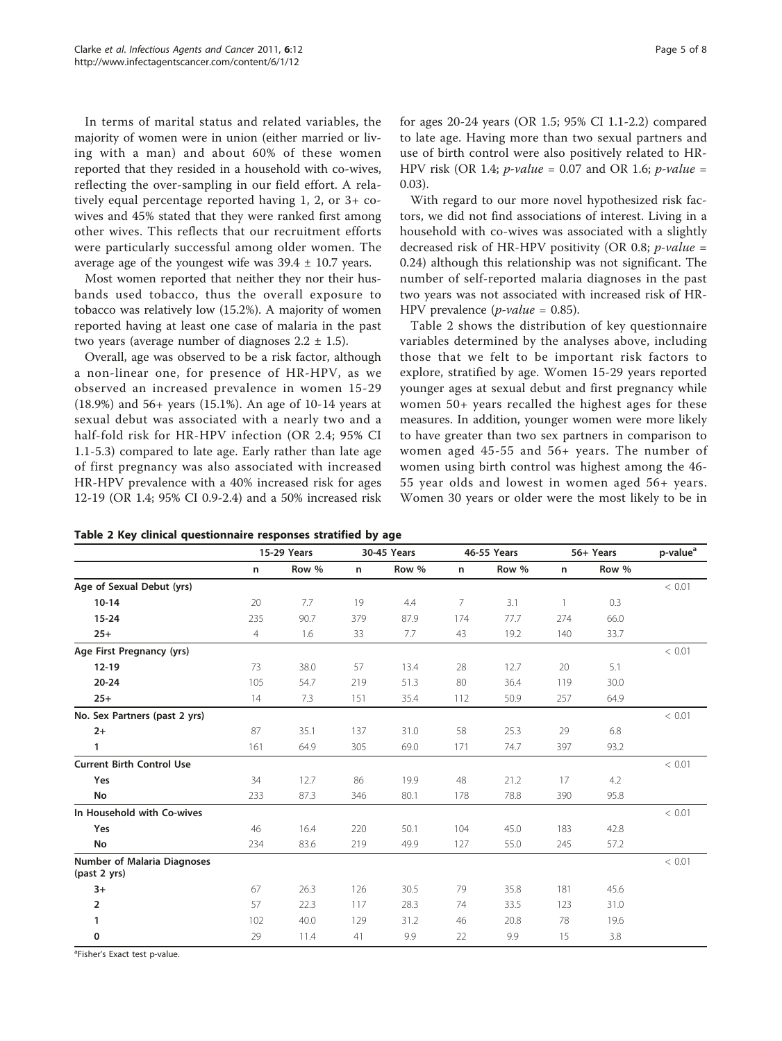<span id="page-4-0"></span>In terms of marital status and related variables, the majority of women were in union (either married or living with a man) and about 60% of these women reported that they resided in a household with co-wives, reflecting the over-sampling in our field effort. A relatively equal percentage reported having 1, 2, or 3+ cowives and 45% stated that they were ranked first among other wives. This reflects that our recruitment efforts were particularly successful among older women. The average age of the youngest wife was  $39.4 \pm 10.7$  years.

Most women reported that neither they nor their husbands used tobacco, thus the overall exposure to tobacco was relatively low (15.2%). A majority of women reported having at least one case of malaria in the past two years (average number of diagnoses  $2.2 \pm 1.5$ ).

Overall, age was observed to be a risk factor, although a non-linear one, for presence of HR-HPV, as we observed an increased prevalence in women 15-29 (18.9%) and 56+ years (15.1%). An age of 10-14 years at sexual debut was associated with a nearly two and a half-fold risk for HR-HPV infection (OR 2.4; 95% CI 1.1-5.3) compared to late age. Early rather than late age of first pregnancy was also associated with increased HR-HPV prevalence with a 40% increased risk for ages 12-19 (OR 1.4; 95% CI 0.9-2.4) and a 50% increased risk

With regard to our more novel hypothesized risk factors, we did not find associations of interest. Living in a household with co-wives was associated with a slightly decreased risk of HR-HPV positivity (OR 0.8;  $p$ -value = 0.24) although this relationship was not significant. The number of self-reported malaria diagnoses in the past two years was not associated with increased risk of HR-HPV prevalence  $(p-value = 0.85)$ .

Table 2 shows the distribution of key questionnaire variables determined by the analyses above, including those that we felt to be important risk factors to explore, stratified by age. Women 15-29 years reported younger ages at sexual debut and first pregnancy while women 50+ years recalled the highest ages for these measures. In addition, younger women were more likely to have greater than two sex partners in comparison to women aged 45-55 and 56+ years. The number of women using birth control was highest among the 46- 55 year olds and lowest in women aged 56+ years. Women 30 years or older were the most likely to be in

|                                                    | 15-29 Years    |       |     | 30-45 Years |     | 46-55 Years |     | 56+ Years | p-value <sup>a</sup> |  |
|----------------------------------------------------|----------------|-------|-----|-------------|-----|-------------|-----|-----------|----------------------|--|
|                                                    | n              | Row % | n   | Row %       | n   | Row %       | n   | Row %     |                      |  |
| Age of Sexual Debut (yrs)                          |                |       |     |             |     |             |     |           | < 0.01               |  |
| $10-14$                                            | 20             | 7.7   | 19  | 4.4         | 7   | 3.1         | 1   | 0.3       |                      |  |
| $15 - 24$                                          | 235            | 90.7  | 379 | 87.9        | 174 | 77.7        | 274 | 66.0      |                      |  |
| $25+$                                              | $\overline{4}$ | 1.6   | 33  | 7.7         | 43  | 19.2        | 140 | 33.7      |                      |  |
| Age First Pregnancy (yrs)                          |                |       |     |             |     |             |     |           | < 0.01               |  |
| $12 - 19$                                          | 73             | 38.0  | 57  | 13.4        | 28  | 12.7        | 20  | 5.1       |                      |  |
| $20 - 24$                                          | 105            | 54.7  | 219 | 51.3        | 80  | 36.4        | 119 | 30.0      |                      |  |
| $25+$                                              | 14             | 7.3   | 151 | 35.4        | 112 | 50.9        | 257 | 64.9      |                      |  |
| No. Sex Partners (past 2 yrs)                      |                |       |     |             |     |             |     |           | < 0.01               |  |
| $2+$                                               | 87             | 35.1  | 137 | 31.0        | 58  | 25.3        | 29  | 6.8       |                      |  |
| 1                                                  | 161            | 64.9  | 305 | 69.0        | 171 | 74.7        | 397 | 93.2      |                      |  |
| <b>Current Birth Control Use</b>                   |                |       |     |             |     |             |     |           | < 0.01               |  |
| Yes                                                | 34             | 12.7  | 86  | 19.9        | 48  | 21.2        | 17  | 4.2       |                      |  |
| No                                                 | 233            | 87.3  | 346 | 80.1        | 178 | 78.8        | 390 | 95.8      |                      |  |
| In Household with Co-wives                         |                |       |     |             |     |             |     |           | < 0.01               |  |
| Yes                                                | 46             | 16.4  | 220 | 50.1        | 104 | 45.0        | 183 | 42.8      |                      |  |
| No                                                 | 234            | 83.6  | 219 | 49.9        | 127 | 55.0        | 245 | 57.2      |                      |  |
| <b>Number of Malaria Diagnoses</b><br>(past 2 yrs) |                |       |     |             |     |             |     |           | < 0.01               |  |
| $3+$                                               | 67             | 26.3  | 126 | 30.5        | 79  | 35.8        | 181 | 45.6      |                      |  |
| $\overline{2}$                                     | 57             | 22.3  | 117 | 28.3        | 74  | 33.5        | 123 | 31.0      |                      |  |
| 1                                                  | 102            | 40.0  | 129 | 31.2        | 46  | 20.8        | 78  | 19.6      |                      |  |
| 0                                                  | 29             | 11.4  | 41  | 9.9         | 22  | 9.9         | 15  | 3.8       |                      |  |

Table 2 Key clinical questionnaire responses stratified by age

<sup>a</sup>Fisher's Exact test p-value.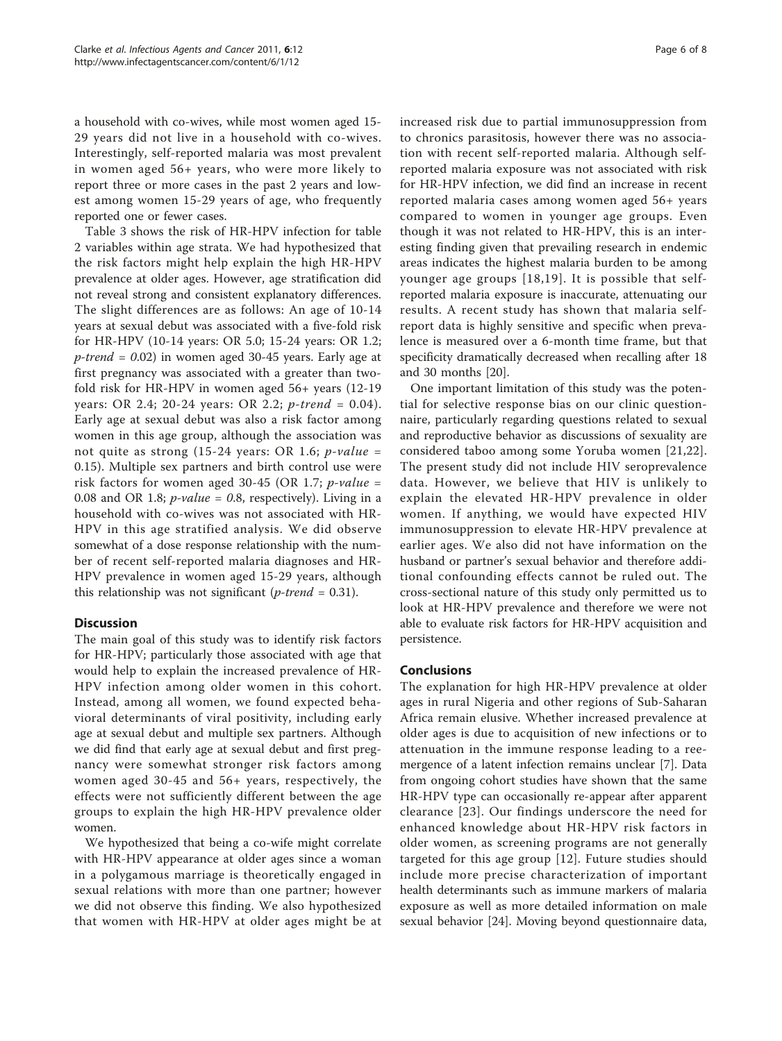a household with co-wives, while most women aged 15- 29 years did not live in a household with co-wives. Interestingly, self-reported malaria was most prevalent in women aged 56+ years, who were more likely to report three or more cases in the past 2 years and lowest among women 15-29 years of age, who frequently reported one or fewer cases.

Table [3](#page-6-0) shows the risk of HR-HPV infection for table [2](#page-4-0) variables within age strata. We had hypothesized that the risk factors might help explain the high HR-HPV prevalence at older ages. However, age stratification did not reveal strong and consistent explanatory differences. The slight differences are as follows: An age of 10-14 years at sexual debut was associated with a five-fold risk for HR-HPV (10-14 years: OR 5.0; 15-24 years: OR 1.2;  $p$ -trend = 0.02) in women aged 30-45 years. Early age at first pregnancy was associated with a greater than twofold risk for HR-HPV in women aged 56+ years (12-19 years: OR 2.4; 20-24 years: OR 2.2; p-trend = 0.04). Early age at sexual debut was also a risk factor among women in this age group, although the association was not quite as strong (15-24 years: OR 1.6;  $p$ -value = 0.15). Multiple sex partners and birth control use were risk factors for women aged 30-45 (OR 1.7; *p-value =* 0.08 and OR 1.8; *p-value* = 0.8, respectively). Living in a household with co-wives was not associated with HR-HPV in this age stratified analysis. We did observe somewhat of a dose response relationship with the number of recent self-reported malaria diagnoses and HR-HPV prevalence in women aged 15-29 years, although this relationship was not significant (*p-trend* =  $0.31$ ).

# **Discussion**

The main goal of this study was to identify risk factors for HR-HPV; particularly those associated with age that would help to explain the increased prevalence of HR-HPV infection among older women in this cohort. Instead, among all women, we found expected behavioral determinants of viral positivity, including early age at sexual debut and multiple sex partners. Although we did find that early age at sexual debut and first pregnancy were somewhat stronger risk factors among women aged 30-45 and 56+ years, respectively, the effects were not sufficiently different between the age groups to explain the high HR-HPV prevalence older women.

We hypothesized that being a co-wife might correlate with HR-HPV appearance at older ages since a woman in a polygamous marriage is theoretically engaged in sexual relations with more than one partner; however we did not observe this finding. We also hypothesized that women with HR-HPV at older ages might be at increased risk due to partial immunosuppression from to chronics parasitosis, however there was no association with recent self-reported malaria. Although selfreported malaria exposure was not associated with risk for HR-HPV infection, we did find an increase in recent reported malaria cases among women aged 56+ years compared to women in younger age groups. Even though it was not related to HR-HPV, this is an interesting finding given that prevailing research in endemic areas indicates the highest malaria burden to be among younger age groups [[18](#page-7-0),[19\]](#page-7-0). It is possible that selfreported malaria exposure is inaccurate, attenuating our results. A recent study has shown that malaria selfreport data is highly sensitive and specific when prevalence is measured over a 6-month time frame, but that specificity dramatically decreased when recalling after 18 and 30 months [\[20\]](#page-7-0).

One important limitation of this study was the potential for selective response bias on our clinic questionnaire, particularly regarding questions related to sexual and reproductive behavior as discussions of sexuality are considered taboo among some Yoruba women [[21,22](#page-7-0)]. The present study did not include HIV seroprevalence data. However, we believe that HIV is unlikely to explain the elevated HR-HPV prevalence in older women. If anything, we would have expected HIV immunosuppression to elevate HR-HPV prevalence at earlier ages. We also did not have information on the husband or partner's sexual behavior and therefore additional confounding effects cannot be ruled out. The cross-sectional nature of this study only permitted us to look at HR-HPV prevalence and therefore we were not able to evaluate risk factors for HR-HPV acquisition and persistence.

## Conclusions

The explanation for high HR-HPV prevalence at older ages in rural Nigeria and other regions of Sub-Saharan Africa remain elusive. Whether increased prevalence at older ages is due to acquisition of new infections or to attenuation in the immune response leading to a reemergence of a latent infection remains unclear [[7\]](#page-7-0). Data from ongoing cohort studies have shown that the same HR-HPV type can occasionally re-appear after apparent clearance [[23](#page-7-0)]. Our findings underscore the need for enhanced knowledge about HR-HPV risk factors in older women, as screening programs are not generally targeted for this age group [[12\]](#page-7-0). Future studies should include more precise characterization of important health determinants such as immune markers of malaria exposure as well as more detailed information on male sexual behavior [[24\]](#page-7-0). Moving beyond questionnaire data,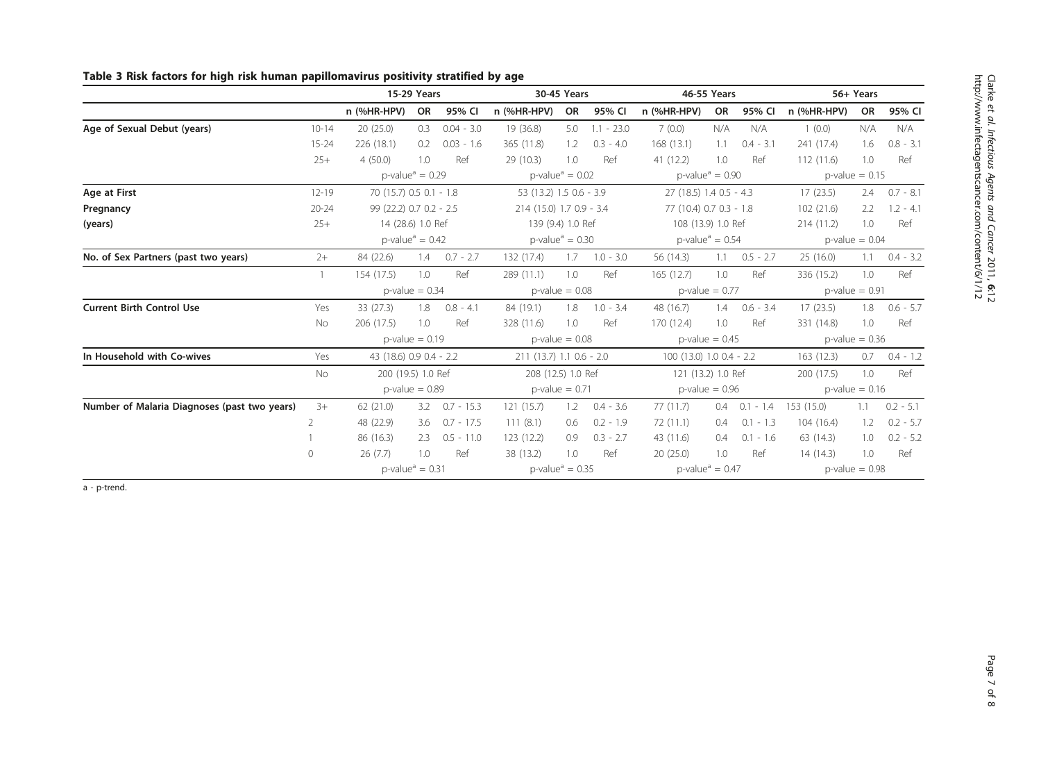|                                              |                   | 15-29 Years                                 |     |                    |                                             | 30-45 Years             |                    | 46-55 Years                    |                         |             | 56+ Years         |                   |             |  |
|----------------------------------------------|-------------------|---------------------------------------------|-----|--------------------|---------------------------------------------|-------------------------|--------------------|--------------------------------|-------------------------|-------------|-------------------|-------------------|-------------|--|
|                                              |                   | n (%HR-HPV)                                 | OR  | 95% CI             | n (%HR-HPV)                                 | OR                      | 95% CI             | n (%HR-HPV)                    | OR                      | 95% CI      | n (%HR-HPV)       | OR                | 95% CI      |  |
| Age of Sexual Debut (years)                  | $10 - 14$         | 20(25.0)                                    | 0.3 | $0.04 - 3.0$       | 19 (36.8)                                   | 5.0                     | $1.1 - 23.0$       | 7(0.0)                         | N/A                     | N/A         | 1(0.0)            | N/A               | N/A         |  |
|                                              | $15 - 24$         | 226 (18.1)                                  | 0.2 | $0.03 - 1.6$       | 365 (11.8)                                  | 1.2                     | $0.3 - 4.0$        | 168(13.1)                      | 1.1                     | $0.4 - 3.1$ | 241 (17.4)        | 1.6               | $0.8 - 3.1$ |  |
|                                              | $25+$             | 4(50.0)                                     | 1.0 | Ref                | 29 (10.3)                                   | 1.0                     | Ref                | 41 (12.2)                      | 1.0                     | Ref         | 112(11.6)         | 1.0               | Ref         |  |
|                                              |                   | $p$ -value <sup>a</sup> = 0.29              |     |                    | $p$ -value <sup>a</sup> = 0.02              |                         |                    | $p$ -value <sup>a</sup> = 0.90 |                         |             | $p$ -value = 0.15 |                   |             |  |
| Age at First                                 | $12 - 19$         | 70 (15.7) 0.5 0.1 - 1.8                     |     |                    |                                             | 53 (13.2) 1.5 0.6 - 3.9 |                    |                                | 27 (18.5) 1.4 0.5 - 4.3 |             |                   | 2.4               | $0.7 - 8.1$ |  |
| Pregnancy                                    | $20 - 24$         | 99 (22.2) 0.7 0.2 - 2.5                     |     |                    | 214 (15.0) 1.7 0.9 - 3.4                    |                         |                    | 77 (10.4) 0.7 0.3 - 1.8        |                         |             | 102(21.6)         | 2.2               | $1.2 - 4.1$ |  |
| (years)                                      | $25+$             | 14 (28.6) 1.0 Ref                           |     |                    | 139 (9.4) 1.0 Ref                           |                         |                    | 108 (13.9) 1.0 Ref             |                         |             | 214(11.2)         | 1.0               | Ref         |  |
|                                              |                   | $p$ -value <sup>a</sup> = 0.42              |     |                    | $p$ -value <sup><math>a</math></sup> = 0.30 |                         |                    | $p$ -value <sup>a</sup> = 0.54 |                         |             | $p$ -value = 0.04 |                   |             |  |
| No. of Sex Partners (past two years)         | $2+$              | 84 (22.6)                                   | 1.4 | $0.7 - 2.7$        | 132 (17.4)                                  | 1.7                     | $1.0 - 3.0$        | 56 (14.3)                      | 1.1                     | $0.5 - 2.7$ | 25 (16.0)         | 1.1               | $0.4 - 3.2$ |  |
|                                              | $\mathbf{1}$      | 154 (17.5)                                  | 1.0 | Ref                | 289 (11.1)                                  | 1.0                     | Ref                | 165(12.7)                      | 1.0                     | Ref         | 336 (15.2)        | 1.0               | Ref         |  |
|                                              | $p$ -value = 0.34 |                                             |     |                    |                                             | $p$ -value = 0.08       |                    |                                | $p$ -value = 0.77       |             |                   | $p$ -value = 0.91 |             |  |
| <b>Current Birth Control Use</b>             | Yes               | 33 (27.3)                                   | 1.8 | $0.8 - 4.1$        | 84 (19.1)                                   | 1.8                     | $1.0 - 3.4$        | 48 (16.7)                      | 1.4                     | $0.6 - 3.4$ | 17(23.5)          | 1.8               | $0.6 - 5.7$ |  |
|                                              | No                | 206 (17.5)                                  | 1.0 | Ref                | 328 (11.6)                                  | 1.0                     | Ref                | 170 (12.4)                     | 1.0                     | Ref         | 331 (14.8)        | 1.0               | Ref         |  |
|                                              |                   | $p$ -value = 0.19                           |     |                    | $p$ -value = 0.08                           |                         |                    | $p$ -value = 0.45              |                         |             | $p$ -value = 0.36 |                   |             |  |
| In Household with Co-wives                   | Yes               | 43 (18.6) 0.9 0.4 - 2.2                     |     |                    | 211 (13.7) 1.1 0.6 - 2.0                    |                         |                    | 100 (13.0) 1.0 0.4 - 2.2       |                         |             | 163 (12.3)<br>0.7 |                   | $0.4 - 1.2$ |  |
|                                              | No                | 200 (19.5) 1.0 Ref                          |     | 208 (12.5) 1.0 Ref |                                             |                         | 121 (13.2) 1.0 Ref |                                |                         | 200 (17.5)  | 1.0               | Ref               |             |  |
|                                              |                   | $p$ -value = 0.89                           |     |                    |                                             | $p$ -value = 0.71       |                    |                                | $p$ -value = 0.96       |             |                   | $p$ -value = 0.16 |             |  |
| Number of Malaria Diagnoses (past two years) | $3+$              | 62(21.0)                                    |     | $3.2$ 0.7 - 15.3   | 121(15.7)                                   | 1.2                     | $0.4 - 3.6$        | 77(11.7)                       | 0.4                     | $0.1 - 1.4$ | 153 (15.0)        | $1.1 -$           | $0.2 - 5.1$ |  |
|                                              | $\overline{2}$    | 48 (22.9)                                   | 3.6 | $0.7 - 17.5$       | 111(8.1)                                    | 0.6                     | $0.2 - 1.9$        | 72(11.1)                       | 0.4                     | $0.1 - 1.3$ | 104(16.4)         | 1.2               | $0.2 - 5.7$ |  |
|                                              |                   | 86 (16.3)                                   | 2.3 | $0.5 - 11.0$       | 123 (12.2)                                  | 0.9                     | $0.3 - 2.7$        | 43 (11.6)                      | 0.4                     | $0.1 - 1.6$ | 63(14.3)          | 1.0               | $0.2 - 5.2$ |  |
|                                              | $\circ$           | 26(7.7)                                     | 1.0 | Ref                | 38 (13.2)                                   | 1.0                     | Ref                | 20(25.0)                       | 1.0                     | Ref         | 14(14.3)          | 1.0               | Ref         |  |
|                                              |                   | $p$ -value <sup><math>a</math></sup> = 0.31 |     |                    | $p$ -value <sup><math>a</math></sup> = 0.35 |                         |                    | $p$ -value <sup>a</sup> = 0.47 |                         |             | $p$ -value = 0.98 |                   |             |  |

# <span id="page-6-0"></span>Table 3 Risk factors for high risk human papillomavirus positivity stratified by age

a - p-trend.